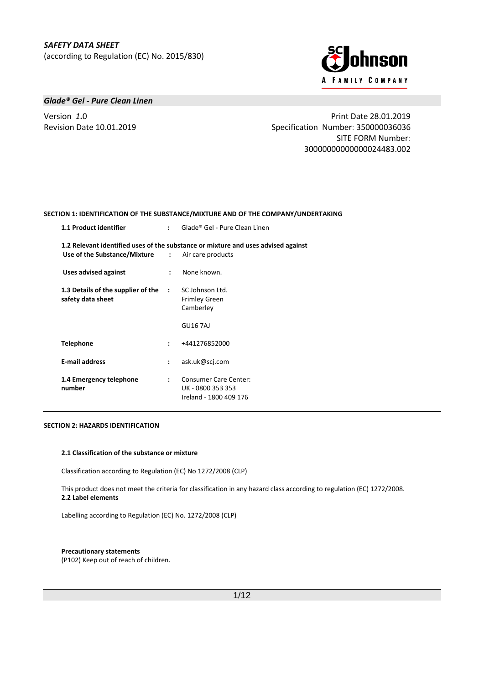

# *Glade® Gel - Pure Clean Linen*

Version *1***.**0 Print Date 28.01.2019 Revision Date 10.01.2019 Specification Number: 350000036036 SITE FORM Number: 30000000000000024483.002

#### **SECTION 1: IDENTIFICATION OF THE SUBSTANCE/MIXTURE AND OF THE COMPANY/UNDERTAKING**

| 1.1 Product identifier                                    | $\mathbf{r}$         | Glade® Gel - Pure Clean Linen                                                     |
|-----------------------------------------------------------|----------------------|-----------------------------------------------------------------------------------|
| <b>Use of the Substance/Mixture :</b> Air care products   |                      | 1.2 Relevant identified uses of the substance or mixture and uses advised against |
| <b>Uses advised against</b>                               | $\mathbf{L}$         | None known.                                                                       |
| 1.3 Details of the supplier of the :<br>safety data sheet |                      | SC Johnson Ltd.<br><b>Frimley Green</b><br>Camberley                              |
|                                                           |                      | <b>GU16 7AJ</b>                                                                   |
| Telephone                                                 | $\mathbf{r}$         | +441276852000                                                                     |
| <b>E-mail address</b>                                     | $\ddot{\phantom{a}}$ | ask.uk@scj.com                                                                    |
| 1.4 Emergency telephone<br>number                         | $\mathbf{r}$         | <b>Consumer Care Center:</b><br>UK - 0800 353 353<br>Ireland - 1800 409 176       |

#### **SECTION 2: HAZARDS IDENTIFICATION**

#### **2.1 Classification of the substance or mixture**

Classification according to Regulation (EC) No 1272/2008 (CLP)

This product does not meet the criteria for classification in any hazard class according to regulation (EC) 1272/2008. **2.2 Label elements**

Labelling according to Regulation (EC) No. 1272/2008 (CLP)

#### **Precautionary statements**

(P102) Keep out of reach of children.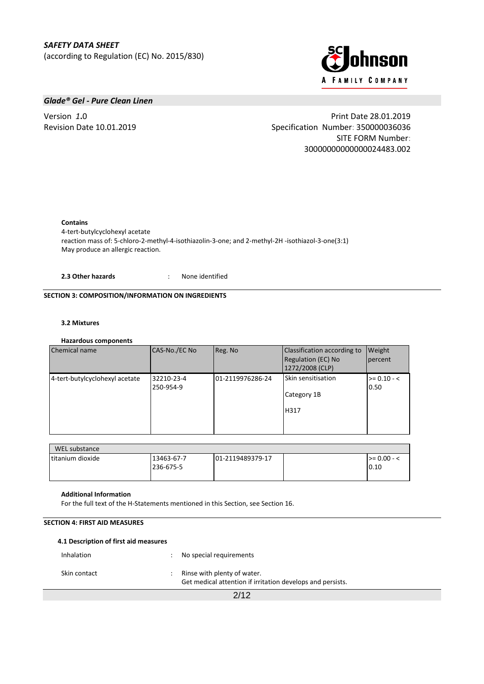

# *Glade® Gel - Pure Clean Linen*

Version *1***.**0 Print Date 28.01.2019 Revision Date 10.01.2019 Specification Number: 350000036036 SITE FORM Number: 30000000000000024483.002

**Contains**

4-tert-butylcyclohexyl acetate reaction mass of: 5-chloro-2-methyl-4-isothiazolin-3-one; and 2-methyl-2H -isothiazol-3-one(3:1) May produce an allergic reaction.

**2.3 Other hazards** : None identified

# **SECTION 3: COMPOSITION/INFORMATION ON INGREDIENTS**

# **3.2 Mixtures**

## **Hazardous components**

| Chemical name                  | CAS-No./EC No           | Reg. No          | Classification according to<br>Regulation (EC) No<br>1272/2008 (CLP) | Weight<br>percent     |
|--------------------------------|-------------------------|------------------|----------------------------------------------------------------------|-----------------------|
| 4-tert-butylcyclohexyl acetate | 32210-23-4<br>250-954-9 | 01-2119976286-24 | <b>Skin sensitisation</b><br>Category 1B<br>H317                     | $>= 0.10 - <$<br>0.50 |

| WEL substance     |                         |                   |                          |
|-------------------|-------------------------|-------------------|--------------------------|
| Ititanium dioxide | 13463-67-7<br>236-675-5 | 101-2119489379-17 | $\ge$ = 0.00 - <<br>0.10 |

#### **Additional Information**

For the full text of the H-Statements mentioned in this Section, see Section 16.

# **SECTION 4: FIRST AID MEASURES**

| 4.1 Description of first aid measures |                                                                                           |
|---------------------------------------|-------------------------------------------------------------------------------------------|
| Inhalation                            | No special requirements                                                                   |
| Skin contact                          | Rinse with plenty of water.<br>Get medical attention if irritation develops and persists. |
|                                       | 2/12                                                                                      |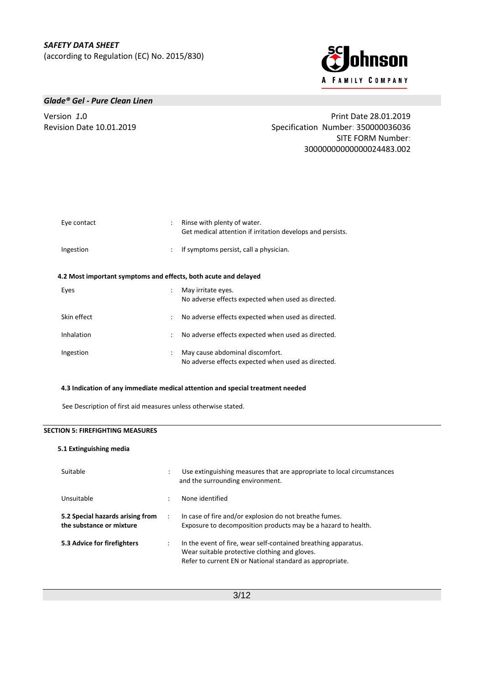

## *Glade® Gel - Pure Clean Linen*

Version *1***.**0 Print Date 28.01.2019 Revision Date 10.01.2019 Specification Number: 350000036036 SITE FORM Number: 30000000000000024483.002

| Eye contact                                                     |                      | Rinse with plenty of water.<br>Get medical attention if irritation develops and persists. |
|-----------------------------------------------------------------|----------------------|-------------------------------------------------------------------------------------------|
| Ingestion                                                       | $\ddot{\phantom{0}}$ | If symptoms persist, call a physician.                                                    |
| 4.2 Most important symptoms and effects, both acute and delayed |                      |                                                                                           |
| Eyes                                                            |                      | May irritate eyes.<br>No adverse effects expected when used as directed.                  |
| Skin effect                                                     | ÷                    | No adverse effects expected when used as directed.                                        |
| Inhalation                                                      | $\ddot{\phantom{a}}$ | No adverse effects expected when used as directed.                                        |
| Ingestion                                                       |                      | May cause abdominal discomfort.<br>No adverse effects expected when used as directed.     |

## **4.3 Indication of any immediate medical attention and special treatment needed**

See Description of first aid measures unless otherwise stated.

# **SECTION 5: FIREFIGHTING MEASURES**

#### **5.1 Extinguishing media**

| Suitable                                                     | $\ddot{\cdot}$       | Use extinguishing measures that are appropriate to local circumstances<br>and the surrounding environment.                                                                  |
|--------------------------------------------------------------|----------------------|-----------------------------------------------------------------------------------------------------------------------------------------------------------------------------|
| Unsuitable                                                   | ٠                    | None identified                                                                                                                                                             |
| 5.2 Special hazards arising from<br>the substance or mixture | $\ddot{\phantom{0}}$ | In case of fire and/or explosion do not breathe fumes.<br>Exposure to decomposition products may be a hazard to health.                                                     |
| 5.3 Advice for firefighters                                  | $\ddot{\cdot}$       | In the event of fire, wear self-contained breathing apparatus.<br>Wear suitable protective clothing and gloves.<br>Refer to current EN or National standard as appropriate. |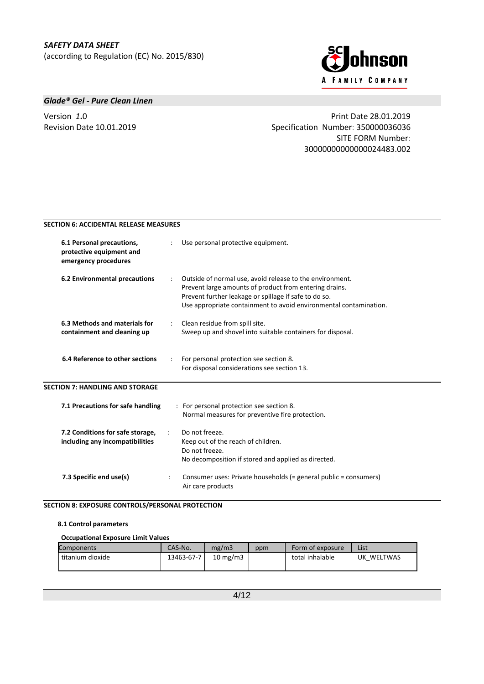

# *Glade® Gel - Pure Clean Linen*

Version *1***.**0 Print Date 28.01.2019 Revision Date 10.01.2019 Specification Number: 350000036036 SITE FORM Number: 30000000000000024483.002

# **SECTION 6: ACCIDENTAL RELEASE MEASURES**

| 6.1 Personal precautions,<br>protective equipment and<br>emergency procedures |                      | Use personal protective equipment.                                                                                                                                                                                                               |
|-------------------------------------------------------------------------------|----------------------|--------------------------------------------------------------------------------------------------------------------------------------------------------------------------------------------------------------------------------------------------|
| 6.2 Environmental precautions                                                 | $\ddot{\phantom{a}}$ | Outside of normal use, avoid release to the environment.<br>Prevent large amounts of product from entering drains.<br>Prevent further leakage or spillage if safe to do so.<br>Use appropriate containment to avoid environmental contamination. |
| 6.3 Methods and materials for<br>containment and cleaning up                  |                      | Clean residue from spill site.<br>Sweep up and shovel into suitable containers for disposal.                                                                                                                                                     |
| 6.4 Reference to other sections                                               | $\ddot{\phantom{a}}$ | For personal protection see section 8.<br>For disposal considerations see section 13.                                                                                                                                                            |
| <b>SECTION 7: HANDLING AND STORAGE</b>                                        |                      |                                                                                                                                                                                                                                                  |
| 7.1 Precautions for safe handling                                             |                      | : For personal protection see section 8.<br>Normal measures for preventive fire protection.                                                                                                                                                      |
| 7.2 Conditions for safe storage,<br>including any incompatibilities           |                      | Do not freeze.<br>Keep out of the reach of children.<br>Do not freeze.<br>No decomposition if stored and applied as directed.                                                                                                                    |
| 7.3 Specific end use(s)                                                       |                      | Consumer uses: Private households (= general public = consumers)<br>Air care products                                                                                                                                                            |

# **SECTION 8: EXPOSURE CONTROLS/PERSONAL PROTECTION**

#### **8.1 Control parameters**

## **Occupational Exposure Limit Values**

| Components       | CAS-No.    | mg/m3             | ppm | Form of exposure | List       |
|------------------|------------|-------------------|-----|------------------|------------|
| titanium dioxide | 13463-67-7 | $10 \text{ mg/m}$ |     | total inhalable  | UK WELTWAS |
|                  |            |                   |     |                  |            |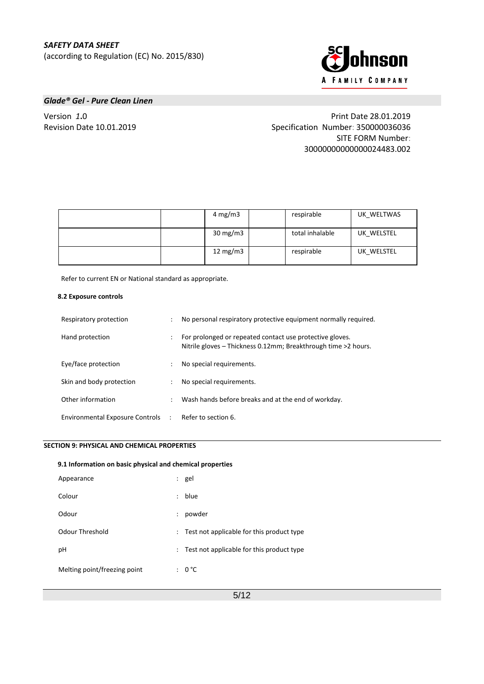

# *Glade® Gel - Pure Clean Linen*

Version *1***.**0 Print Date 28.01.2019 Revision Date 10.01.2019 Specification Number: 350000036036 SITE FORM Number: 30000000000000024483.002

|  | $4 \text{ mg/m}$  | respirable      | UK WELTWAS |
|--|-------------------|-----------------|------------|
|  | $30 \text{ mg/m}$ | total inhalable | UK WELSTEL |
|  | 12 $mg/m3$        | respirable      | UK WELSTEL |

Refer to current EN or National standard as appropriate.

#### **8.2 Exposure controls**

| Respiratory protection            |                      | No personal respiratory protective equipment normally required.                                                            |
|-----------------------------------|----------------------|----------------------------------------------------------------------------------------------------------------------------|
| Hand protection                   |                      | For prolonged or repeated contact use protective gloves.<br>Nitrile gloves - Thickness 0.12mm; Breakthrough time >2 hours. |
| Eye/face protection               | $\ddot{\phantom{0}}$ | No special requirements.                                                                                                   |
| Skin and body protection          | $\ddot{\phantom{0}}$ | No special requirements.                                                                                                   |
| Other information                 | $\ddot{\phantom{0}}$ | Wash hands before breaks and at the end of workday.                                                                        |
| Environmental Exposure Controls : |                      | Refer to section 6.                                                                                                        |

# **SECTION 9: PHYSICAL AND CHEMICAL PROPERTIES**

# **9.1 Information on basic physical and chemical properties** Appearance : gel Colour : blue Odour : powder Odour Threshold **South Accord Executes** : Test not applicable for this product type pH  $\qquad \qquad : \qquad$  Test not applicable for this product type Melting point/freezing point : 0 °C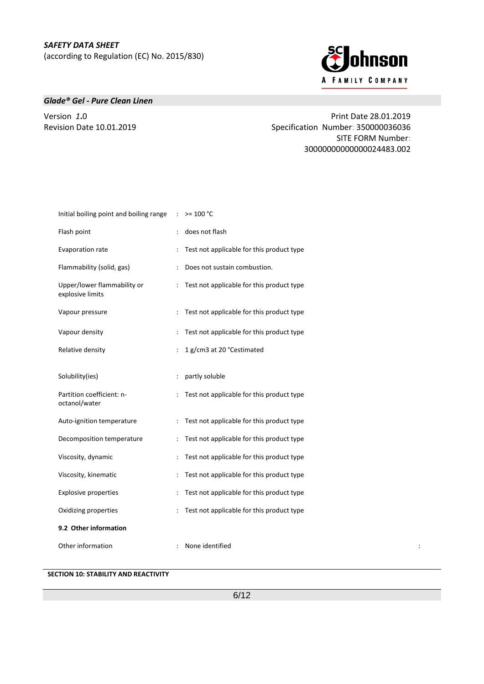

# *Glade® Gel - Pure Clean Linen*

Version *1***.**0 Print Date 28.01.2019 Revision Date 10.01.2019 Specification Number: 350000036036 SITE FORM Number: 30000000000000024483.002

| Initial boiling point and boiling range         | $\mathcal{L}$             | $> = 100 °C$                                |
|-------------------------------------------------|---------------------------|---------------------------------------------|
| Flash point                                     |                           | does not flash                              |
| Evaporation rate                                |                           | Test not applicable for this product type   |
| Flammability (solid, gas)                       | $\mathbb{R}^{\mathbb{Z}}$ | Does not sustain combustion.                |
| Upper/lower flammability or<br>explosive limits |                           | : Test not applicable for this product type |
| Vapour pressure                                 |                           | Test not applicable for this product type   |
| Vapour density                                  |                           | Test not applicable for this product type   |
| Relative density                                |                           | 1 g/cm3 at 20 °Cestimated                   |
| Solubility(ies)                                 |                           | partly soluble                              |
| Partition coefficient: n-<br>octanol/water      |                           | : Test not applicable for this product type |
| Auto-ignition temperature                       |                           | Test not applicable for this product type   |
| Decomposition temperature                       |                           | : Test not applicable for this product type |
| Viscosity, dynamic                              |                           | Test not applicable for this product type   |
| Viscosity, kinematic                            |                           | Test not applicable for this product type   |
| <b>Explosive properties</b>                     |                           | Test not applicable for this product type   |
| Oxidizing properties                            |                           | Test not applicable for this product type   |
| 9.2 Other information                           |                           |                                             |
| Other information                               |                           | : None identified<br>$\ddot{\cdot}$         |

# **SECTION 10: STABILITY AND REACTIVITY**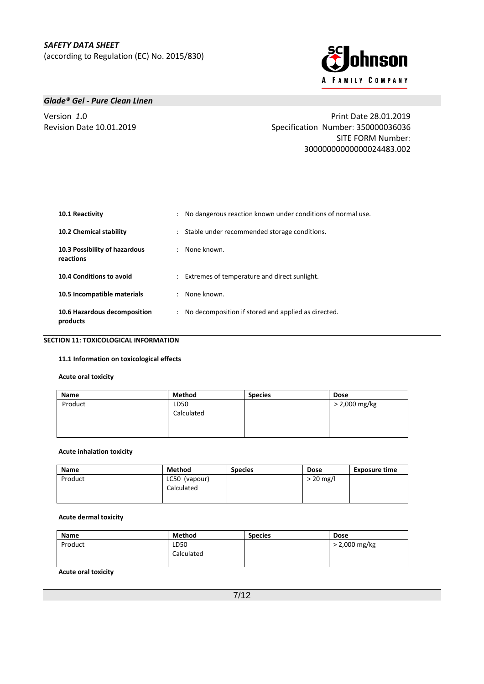

# *Glade® Gel - Pure Clean Linen*

Version *1***.**0 Print Date 28.01.2019 Revision Date 10.01.2019 Specification Number: 350000036036 SITE FORM Number: 30000000000000024483.002

| 10.1 Reactivity                            | : No dangerous reaction known under conditions of normal use. |  |
|--------------------------------------------|---------------------------------------------------------------|--|
| 10.2 Chemical stability                    | : Stable under recommended storage conditions.                |  |
| 10.3 Possibility of hazardous<br>reactions | : None known.                                                 |  |
| 10.4 Conditions to avoid                   | : Extremes of temperature and direct sunlight.                |  |
| 10.5 Incompatible materials                | : None known.                                                 |  |
| 10.6 Hazardous decomposition<br>products   | : No decomposition if stored and applied as directed.         |  |

**SECTION 11: TOXICOLOGICAL INFORMATION**

## **11.1 Information on toxicological effects**

#### **Acute oral toxicity**

| Name    | Method             | <b>Species</b> | <b>Dose</b>   |
|---------|--------------------|----------------|---------------|
| Product | LD50<br>Calculated |                | > 2,000 mg/kg |

#### **Acute inhalation toxicity**

| Name    | Method                      | <b>Species</b> | <b>Dose</b> | <b>Exposure time</b> |
|---------|-----------------------------|----------------|-------------|----------------------|
| Product | LC50 (vapour)<br>Calculated |                | $>$ 20 mg/l |                      |

#### **Acute dermal toxicity**

| Name    | <b>Method</b>      | <b>Species</b> | <b>Dose</b>   |
|---------|--------------------|----------------|---------------|
| Product | LD50<br>Calculated |                | > 2,000 mg/kg |

# **Acute oral toxicity**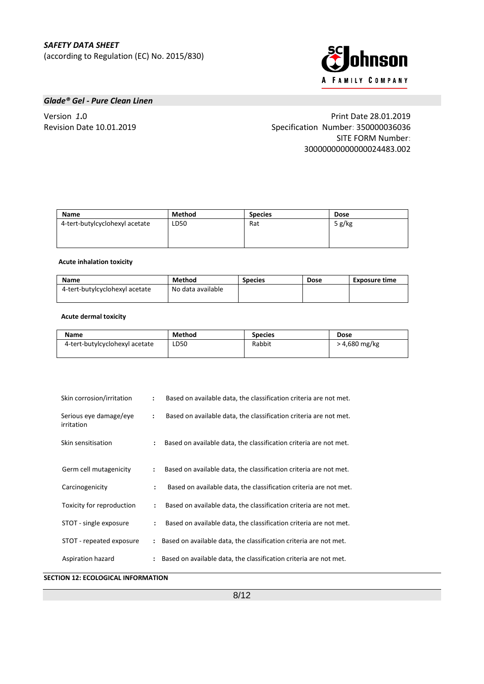

# *Glade® Gel - Pure Clean Linen*

Version *1***.**0 Print Date 28.01.2019 Revision Date 10.01.2019 Specification Number: 350000036036 SITE FORM Number: 30000000000000024483.002

| Name                           | Method | <b>Species</b> | <b>Dose</b> |
|--------------------------------|--------|----------------|-------------|
| 4-tert-butylcyclohexyl acetate | LD50   | Rat            | 5 $g/kg$    |

#### **Acute inhalation toxicity**

| <b>Name</b>                    | Method            | <b>Species</b> | <b>Dose</b> | Exposure time |
|--------------------------------|-------------------|----------------|-------------|---------------|
| 4-tert-butylcyclohexyl acetate | No data available |                |             |               |
|                                |                   |                |             |               |

# **Acute dermal toxicity**

| <b>Name</b>                    | Method | <b>Species</b> | <b>Dose</b>   |
|--------------------------------|--------|----------------|---------------|
| 4-tert-butylcyclohexyl acetate | LD50   | Rabbit         | > 4,680 mg/kg |
|                                |        |                |               |

| Skin corrosion/irritation            | $\ddot{\phantom{a}}$ | Based on available data, the classification criteria are not met.   |
|--------------------------------------|----------------------|---------------------------------------------------------------------|
| Serious eye damage/eye<br>irritation | $\ddot{\phantom{a}}$ | Based on available data, the classification criteria are not met.   |
| Skin sensitisation                   | $\ddot{\cdot}$       | Based on available data, the classification criteria are not met.   |
| Germ cell mutagenicity               | $\ddot{\cdot}$       | Based on available data, the classification criteria are not met.   |
| Carcinogenicity                      | $\ddot{\cdot}$       | Based on available data, the classification criteria are not met.   |
| Toxicity for reproduction            | $\ddot{\cdot}$       | Based on available data, the classification criteria are not met.   |
| STOT - single exposure               | $\ddot{\cdot}$       | Based on available data, the classification criteria are not met.   |
| STOT - repeated exposure             |                      | Based on available data, the classification criteria are not met.   |
| Aspiration hazard                    |                      | : Based on available data, the classification criteria are not met. |

**SECTION 12: ECOLOGICAL INFORMATION**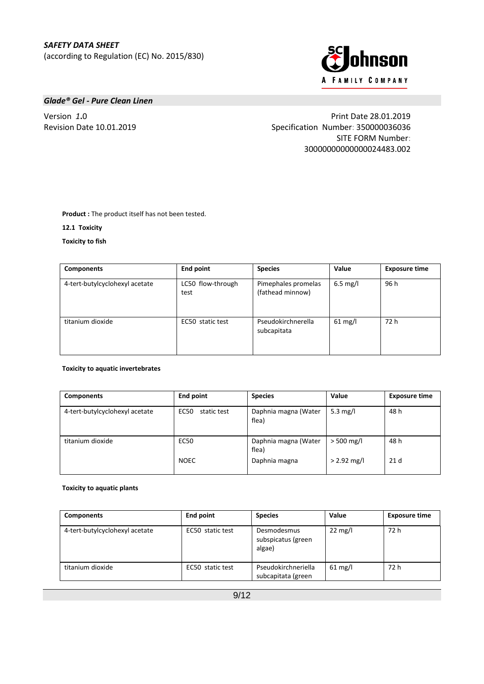

# *Glade® Gel - Pure Clean Linen*

Version *1***.**0 Print Date 28.01.2019 Revision Date 10.01.2019 Specification Number: 350000036036 SITE FORM Number: 30000000000000024483.002

**Product :** The product itself has not been tested.

**12.1****Toxicity**

**Toxicity to fish**

| <b>Components</b>              | <b>End point</b>          | <b>Species</b>                          | Value      | <b>Exposure time</b> |
|--------------------------------|---------------------------|-----------------------------------------|------------|----------------------|
| 4-tert-butylcyclohexyl acetate | LC50 flow-through<br>test | Pimephales promelas<br>(fathead minnow) | $6.5$ mg/l | 96 h                 |
| titanium dioxide               | EC50 static test          | Pseudokirchnerella<br>subcapitata       | $61$ mg/l  | 72 h                 |

# **Toxicity to aquatic invertebrates**

| <b>Components</b>              | <b>End point</b>           | <b>Species</b>                | Value         | <b>Exposure time</b> |
|--------------------------------|----------------------------|-------------------------------|---------------|----------------------|
| 4-tert-butylcyclohexyl acetate | <b>EC50</b><br>static test | Daphnia magna (Water<br>flea) | 5.3 mg/l      | 48 h                 |
| titanium dioxide               | <b>EC50</b>                | Daphnia magna (Water<br>flea) | $>$ 500 mg/l  | 48 h                 |
|                                | <b>NOEC</b>                | Daphnia magna                 | $> 2.92$ mg/l | 21 <sub>d</sub>      |

#### **Toxicity to aquatic plants**

| <b>Components</b>              | End point        | <b>Species</b>                              | Value             | <b>Exposure time</b> |
|--------------------------------|------------------|---------------------------------------------|-------------------|----------------------|
| 4-tert-butylcyclohexyl acetate | EC50 static test | Desmodesmus<br>subspicatus (green<br>algae) | $22 \text{ mg/l}$ | 72 h                 |
| titanium dioxide               | EC50 static test | Pseudokirchneriella<br>subcapitata (green   | $61 \text{ mg/l}$ | 72 h                 |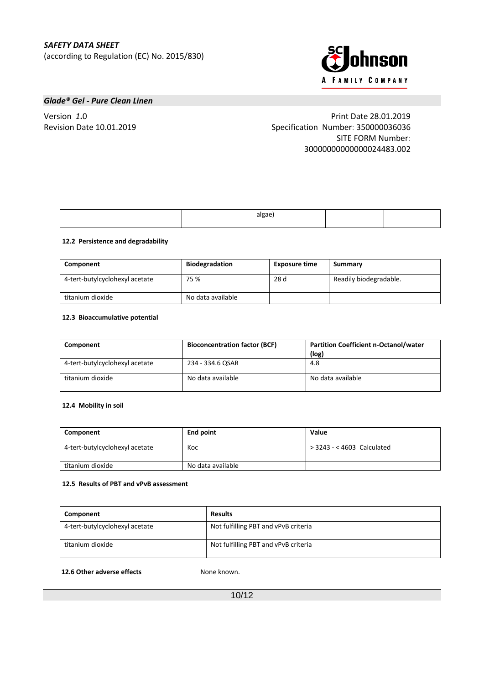

# *Glade® Gel - Pure Clean Linen*

Version *1***.**0 Print Date 28.01.2019 Revision Date 10.01.2019 Specification Number: 350000036036 SITE FORM Number: 30000000000000024483.002

|  | algae |  |
|--|-------|--|
|  |       |  |

## **12.2****Persistence and degradability**

| Component                      | <b>Biodegradation</b> | <b>Exposure time</b> | Summary                |
|--------------------------------|-----------------------|----------------------|------------------------|
| 4-tert-butylcyclohexyl acetate | 75 %                  | 28 d                 | Readily biodegradable. |
| titanium dioxide               | No data available     |                      |                        |

# **12.3****Bioaccumulative potential**

| Component                      | <b>Bioconcentration factor (BCF)</b> | <b>Partition Coefficient n-Octanol/water</b><br>(log) |
|--------------------------------|--------------------------------------|-------------------------------------------------------|
| 4-tert-butylcyclohexyl acetate | 234 - 334.6 OSAR                     | 4.8                                                   |
| titanium dioxide               | No data available                    | No data available                                     |

# **12.4****Mobility in soil**

| Component                      | <b>End point</b>  | Value                      |
|--------------------------------|-------------------|----------------------------|
| 4-tert-butylcyclohexyl acetate | Koc               | > 3243 - < 4603 Calculated |
| titanium dioxide               | No data available |                            |

# **12.5****Results of PBT and vPvB assessment**

| Component                      | <b>Results</b>                       |
|--------------------------------|--------------------------------------|
| 4-tert-butylcyclohexyl acetate | Not fulfilling PBT and vPvB criteria |
| titanium dioxide               | Not fulfilling PBT and vPvB criteria |

#### **12.6 Other adverse effects :** None known.

10/12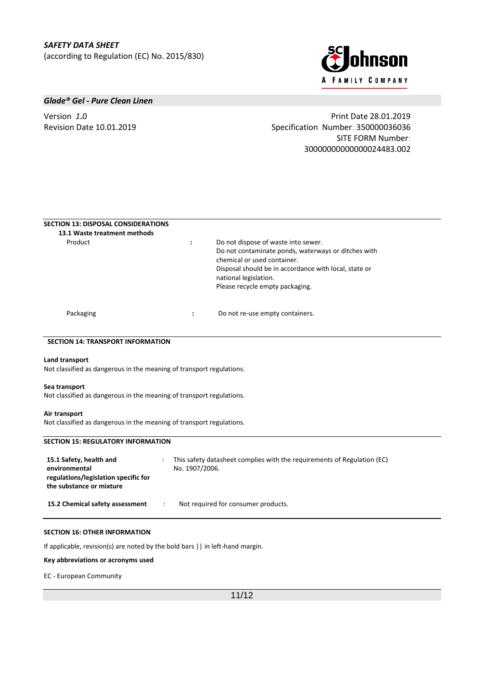

# *Glade® Gel - Pure Clean Linen*

Version *1***.**0 Print Date 28.01.2019 Revision Date 10.01.2019 Specification Number: 350000036036 SITE FORM Number: 30000000000000024483.002

| <b>SECTION 13: DISPOSAL CONSIDERATIONS</b><br>13.1 Waste treatment methods |                        |                                                                                                                                                                                                                                                |
|----------------------------------------------------------------------------|------------------------|------------------------------------------------------------------------------------------------------------------------------------------------------------------------------------------------------------------------------------------------|
| Product                                                                    | $\bullet$<br>$\bullet$ | Do not dispose of waste into sewer.<br>Do not contaminate ponds, waterways or ditches with<br>chemical or used container.<br>Disposal should be in accordance with local, state or<br>national legislation.<br>Please recycle empty packaging. |
| Packaging                                                                  | ٠<br>$\bullet$         | Do not re-use empty containers.                                                                                                                                                                                                                |

# **SECTION 14: TRANSPORT INFORMATION**

#### **Land transport**

Not classified as dangerous in the meaning of transport regulations.

#### **Sea transport**

Not classified as dangerous in the meaning of transport regulations.

#### **Air transport**

Not classified as dangerous in the meaning of transport regulations.

| <b>SECTION 15: REGULATORY INFORMATION</b>                                                                    |  |                                                                                           |
|--------------------------------------------------------------------------------------------------------------|--|-------------------------------------------------------------------------------------------|
| 15.1 Safety, health and<br>environmental<br>regulations/legislation specific for<br>the substance or mixture |  | This safety datasheet complies with the requirements of Regulation (EC)<br>No. 1907/2006. |
| 15.2 Chemical safety assessment                                                                              |  | Not required for consumer products.                                                       |

#### **SECTION 16: OTHER INFORMATION**

If applicable, revision(s) are noted by the bold bars || in left-hand margin.

**Key abbreviations or acronyms used**

#### EC - European Community

11/12